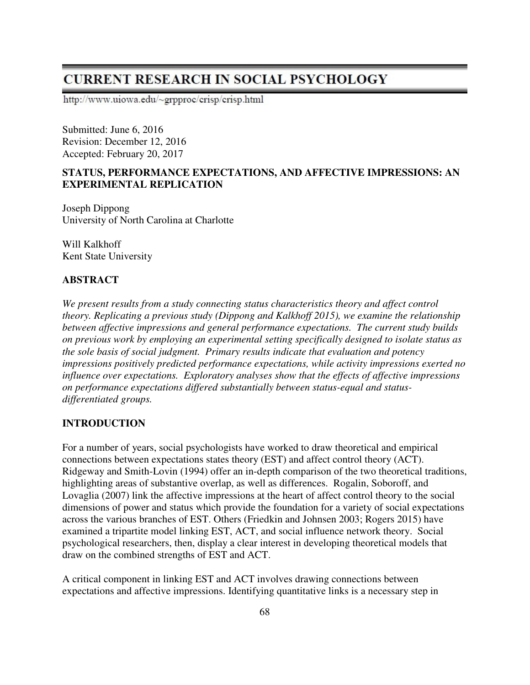# **CURRENT RESEARCH IN SOCIAL PSYCHOLOGY**

http://www.uiowa.edu/~grpproc/crisp/crisp.html

Submitted: June 6, 2016 Revision: December 12, 2016 Accepted: February 20, 2017

# **STATUS, PERFORMANCE EXPECTATIONS, AND AFFECTIVE IMPRESSIONS: AN EXPERIMENTAL REPLICATION**

Joseph Dippong University of North Carolina at Charlotte

Will Kalkhoff Kent State University

# **ABSTRACT**

*We present results from a study connecting status characteristics theory and affect control theory. Replicating a previous study (Dippong and Kalkhoff 2015), we examine the relationship between affective impressions and general performance expectations. The current study builds on previous work by employing an experimental setting specifically designed to isolate status as the sole basis of social judgment. Primary results indicate that evaluation and potency impressions positively predicted performance expectations, while activity impressions exerted no influence over expectations. Exploratory analyses show that the effects of affective impressions on performance expectations differed substantially between status-equal and statusdifferentiated groups.* 

# **INTRODUCTION**

For a number of years, social psychologists have worked to draw theoretical and empirical connections between expectations states theory (EST) and affect control theory (ACT). Ridgeway and Smith-Lovin (1994) offer an in-depth comparison of the two theoretical traditions, highlighting areas of substantive overlap, as well as differences. Rogalin, Soboroff, and Lovaglia (2007) link the affective impressions at the heart of affect control theory to the social dimensions of power and status which provide the foundation for a variety of social expectations across the various branches of EST. Others (Friedkin and Johnsen 2003; Rogers 2015) have examined a tripartite model linking EST, ACT, and social influence network theory. Social psychological researchers, then, display a clear interest in developing theoretical models that draw on the combined strengths of EST and ACT.

A critical component in linking EST and ACT involves drawing connections between expectations and affective impressions. Identifying quantitative links is a necessary step in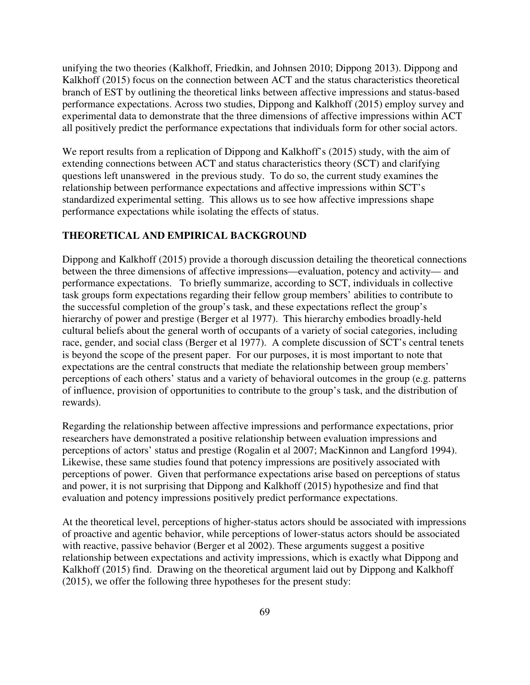unifying the two theories (Kalkhoff, Friedkin, and Johnsen 2010; Dippong 2013). Dippong and Kalkhoff (2015) focus on the connection between ACT and the status characteristics theoretical branch of EST by outlining the theoretical links between affective impressions and status-based performance expectations. Across two studies, Dippong and Kalkhoff (2015) employ survey and experimental data to demonstrate that the three dimensions of affective impressions within ACT all positively predict the performance expectations that individuals form for other social actors.

We report results from a replication of Dippong and Kalkhoff's (2015) study, with the aim of extending connections between ACT and status characteristics theory (SCT) and clarifying questions left unanswered in the previous study. To do so, the current study examines the relationship between performance expectations and affective impressions within SCT's standardized experimental setting. This allows us to see how affective impressions shape performance expectations while isolating the effects of status.

# **THEORETICAL AND EMPIRICAL BACKGROUND**

Dippong and Kalkhoff (2015) provide a thorough discussion detailing the theoretical connections between the three dimensions of affective impressions—evaluation, potency and activity— and performance expectations. To briefly summarize, according to SCT, individuals in collective task groups form expectations regarding their fellow group members' abilities to contribute to the successful completion of the group's task, and these expectations reflect the group's hierarchy of power and prestige (Berger et al 1977). This hierarchy embodies broadly-held cultural beliefs about the general worth of occupants of a variety of social categories, including race, gender, and social class (Berger et al 1977). A complete discussion of SCT's central tenets is beyond the scope of the present paper. For our purposes, it is most important to note that expectations are the central constructs that mediate the relationship between group members' perceptions of each others' status and a variety of behavioral outcomes in the group (e.g. patterns of influence, provision of opportunities to contribute to the group's task, and the distribution of rewards).

Regarding the relationship between affective impressions and performance expectations, prior researchers have demonstrated a positive relationship between evaluation impressions and perceptions of actors' status and prestige (Rogalin et al 2007; MacKinnon and Langford 1994). Likewise, these same studies found that potency impressions are positively associated with perceptions of power. Given that performance expectations arise based on perceptions of status and power, it is not surprising that Dippong and Kalkhoff (2015) hypothesize and find that evaluation and potency impressions positively predict performance expectations.

At the theoretical level, perceptions of higher-status actors should be associated with impressions of proactive and agentic behavior, while perceptions of lower-status actors should be associated with reactive, passive behavior (Berger et al 2002). These arguments suggest a positive relationship between expectations and activity impressions, which is exactly what Dippong and Kalkhoff (2015) find. Drawing on the theoretical argument laid out by Dippong and Kalkhoff (2015), we offer the following three hypotheses for the present study: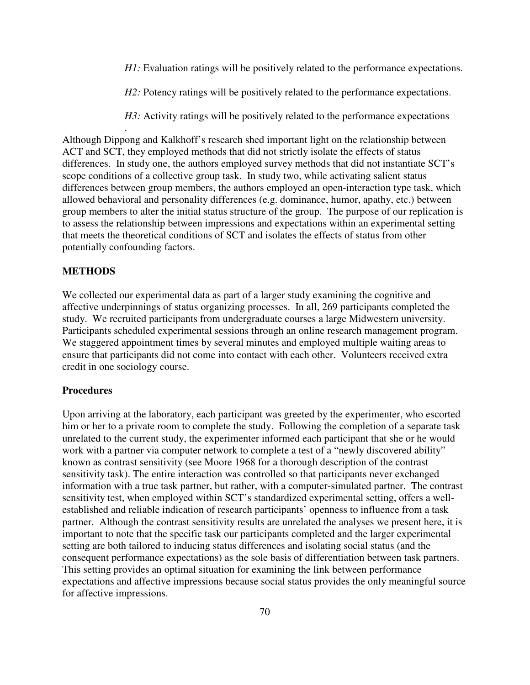*H1*: Evaluation ratings will be positively related to the performance expectations.

*H2*: Potency ratings will be positively related to the performance expectations.

*H3:* Activity ratings will be positively related to the performance expectations

Although Dippong and Kalkhoff's research shed important light on the relationship between ACT and SCT, they employed methods that did not strictly isolate the effects of status differences. In study one, the authors employed survey methods that did not instantiate SCT's scope conditions of a collective group task. In study two, while activating salient status differences between group members, the authors employed an open-interaction type task, which allowed behavioral and personality differences (e.g. dominance, humor, apathy, etc.) between group members to alter the initial status structure of the group. The purpose of our replication is to assess the relationship between impressions and expectations within an experimental setting that meets the theoretical conditions of SCT and isolates the effects of status from other potentially confounding factors.

# **METHODS**

.

We collected our experimental data as part of a larger study examining the cognitive and affective underpinnings of status organizing processes. In all, 269 participants completed the study. We recruited participants from undergraduate courses a large Midwestern university. Participants scheduled experimental sessions through an online research management program. We staggered appointment times by several minutes and employed multiple waiting areas to ensure that participants did not come into contact with each other. Volunteers received extra credit in one sociology course.

#### **Procedures**

Upon arriving at the laboratory, each participant was greeted by the experimenter, who escorted him or her to a private room to complete the study. Following the completion of a separate task unrelated to the current study, the experimenter informed each participant that she or he would work with a partner via computer network to complete a test of a "newly discovered ability" known as contrast sensitivity (see Moore 1968 for a thorough description of the contrast sensitivity task). The entire interaction was controlled so that participants never exchanged information with a true task partner, but rather, with a computer-simulated partner. The contrast sensitivity test, when employed within SCT's standardized experimental setting, offers a wellestablished and reliable indication of research participants' openness to influence from a task partner. Although the contrast sensitivity results are unrelated the analyses we present here, it is important to note that the specific task our participants completed and the larger experimental setting are both tailored to inducing status differences and isolating social status (and the consequent performance expectations) as the sole basis of differentiation between task partners. This setting provides an optimal situation for examining the link between performance expectations and affective impressions because social status provides the only meaningful source for affective impressions.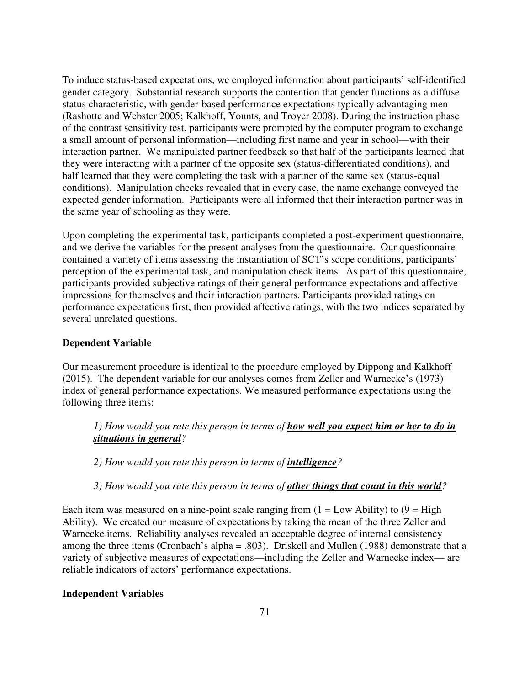To induce status-based expectations, we employed information about participants' self-identified gender category. Substantial research supports the contention that gender functions as a diffuse status characteristic, with gender-based performance expectations typically advantaging men (Rashotte and Webster 2005; Kalkhoff, Younts, and Troyer 2008). During the instruction phase of the contrast sensitivity test, participants were prompted by the computer program to exchange a small amount of personal information—including first name and year in school—with their interaction partner. We manipulated partner feedback so that half of the participants learned that they were interacting with a partner of the opposite sex (status-differentiated conditions), and half learned that they were completing the task with a partner of the same sex (status-equal conditions). Manipulation checks revealed that in every case, the name exchange conveyed the expected gender information. Participants were all informed that their interaction partner was in the same year of schooling as they were.

Upon completing the experimental task, participants completed a post-experiment questionnaire, and we derive the variables for the present analyses from the questionnaire. Our questionnaire contained a variety of items assessing the instantiation of SCT's scope conditions, participants' perception of the experimental task, and manipulation check items. As part of this questionnaire, participants provided subjective ratings of their general performance expectations and affective impressions for themselves and their interaction partners. Participants provided ratings on performance expectations first, then provided affective ratings, with the two indices separated by several unrelated questions.

## **Dependent Variable**

Our measurement procedure is identical to the procedure employed by Dippong and Kalkhoff (2015). The dependent variable for our analyses comes from Zeller and Warnecke's (1973) index of general performance expectations. We measured performance expectations using the following three items:

*1) How would you rate this person in terms of how well you expect him or her to do in situations in general?*

*2) How would you rate this person in terms of intelligence?* 

*3) How would you rate this person in terms of other things that count in this world?* 

Each item was measured on a nine-point scale ranging from  $(1 = Low \, Ability)$  to  $(9 = High \,$ Ability). We created our measure of expectations by taking the mean of the three Zeller and Warnecke items. Reliability analyses revealed an acceptable degree of internal consistency among the three items (Cronbach's alpha = .803). Driskell and Mullen (1988) demonstrate that a variety of subjective measures of expectations—including the Zeller and Warnecke index— are reliable indicators of actors' performance expectations.

#### **Independent Variables**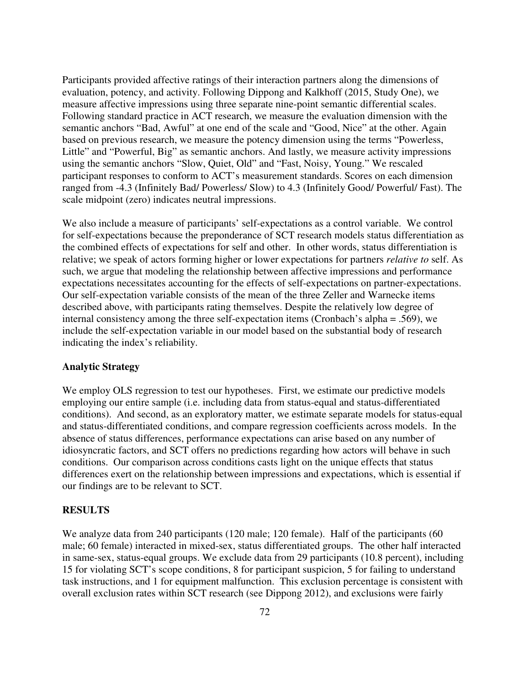Participants provided affective ratings of their interaction partners along the dimensions of evaluation, potency, and activity. Following Dippong and Kalkhoff (2015, Study One), we measure affective impressions using three separate nine-point semantic differential scales. Following standard practice in ACT research, we measure the evaluation dimension with the semantic anchors "Bad, Awful" at one end of the scale and "Good, Nice" at the other. Again based on previous research, we measure the potency dimension using the terms "Powerless, Little" and "Powerful, Big" as semantic anchors. And lastly, we measure activity impressions using the semantic anchors "Slow, Quiet, Old" and "Fast, Noisy, Young." We rescaled participant responses to conform to ACT's measurement standards. Scores on each dimension ranged from -4.3 (Infinitely Bad/ Powerless/ Slow) to 4.3 (Infinitely Good/ Powerful/ Fast). The scale midpoint (zero) indicates neutral impressions.

We also include a measure of participants' self-expectations as a control variable. We control for self-expectations because the preponderance of SCT research models status differentiation as the combined effects of expectations for self and other. In other words, status differentiation is relative; we speak of actors forming higher or lower expectations for partners *relative to* self. As such, we argue that modeling the relationship between affective impressions and performance expectations necessitates accounting for the effects of self-expectations on partner-expectations. Our self-expectation variable consists of the mean of the three Zeller and Warnecke items described above, with participants rating themselves. Despite the relatively low degree of internal consistency among the three self-expectation items (Cronbach's alpha = .569), we include the self-expectation variable in our model based on the substantial body of research indicating the index's reliability.

# **Analytic Strategy**

We employ OLS regression to test our hypotheses. First, we estimate our predictive models employing our entire sample (i.e. including data from status-equal and status-differentiated conditions). And second, as an exploratory matter, we estimate separate models for status-equal and status-differentiated conditions, and compare regression coefficients across models. In the absence of status differences, performance expectations can arise based on any number of idiosyncratic factors, and SCT offers no predictions regarding how actors will behave in such conditions. Our comparison across conditions casts light on the unique effects that status differences exert on the relationship between impressions and expectations, which is essential if our findings are to be relevant to SCT.

#### **RESULTS**

We analyze data from 240 participants (120 male; 120 female). Half of the participants (60 male; 60 female) interacted in mixed-sex, status differentiated groups. The other half interacted in same-sex, status-equal groups. We exclude data from 29 participants (10.8 percent), including 15 for violating SCT's scope conditions, 8 for participant suspicion, 5 for failing to understand task instructions, and 1 for equipment malfunction. This exclusion percentage is consistent with overall exclusion rates within SCT research (see Dippong 2012), and exclusions were fairly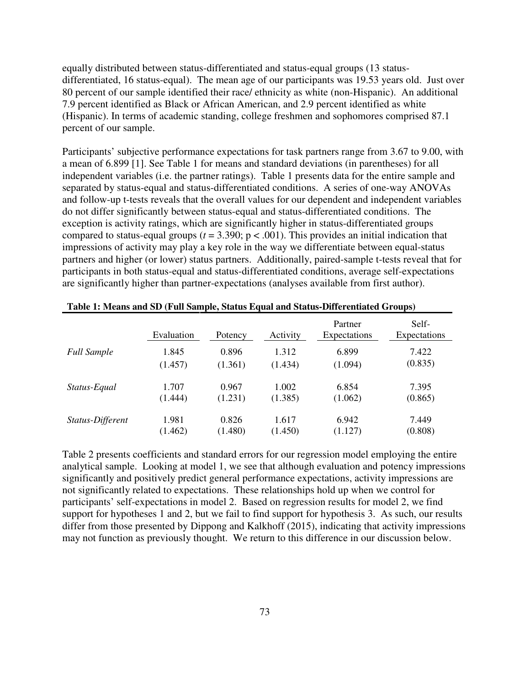equally distributed between status-differentiated and status-equal groups (13 statusdifferentiated, 16 status-equal). The mean age of our participants was 19.53 years old. Just over 80 percent of our sample identified their race/ ethnicity as white (non-Hispanic). An additional 7.9 percent identified as Black or African American, and 2.9 percent identified as white (Hispanic). In terms of academic standing, college freshmen and sophomores comprised 87.1 percent of our sample.

Participants' subjective performance expectations for task partners range from 3.67 to 9.00, with a mean of 6.899 [1]. See Table 1 for means and standard deviations (in parentheses) for all independent variables (i.e. the partner ratings). Table 1 presents data for the entire sample and separated by status-equal and status-differentiated conditions. A series of one-way ANOVAs and follow-up t-tests reveals that the overall values for our dependent and independent variables do not differ significantly between status-equal and status-differentiated conditions. The exception is activity ratings, which are significantly higher in status-differentiated groups compared to status-equal groups ( $t = 3.390$ ;  $p < .001$ ). This provides an initial indication that impressions of activity may play a key role in the way we differentiate between equal-status partners and higher (or lower) status partners. Additionally, paired-sample t-tests reveal that for participants in both status-equal and status-differentiated conditions, average self-expectations are significantly higher than partner-expectations (analyses available from first author).

|                    | Evaluation | Potency | Activity | Partner<br>Expectations | Self-<br>Expectations |
|--------------------|------------|---------|----------|-------------------------|-----------------------|
| <b>Full Sample</b> | 1.845      | 0.896   | 1.312    | 6.899                   | 7.422                 |
|                    | (1.457)    | (1.361) | (1.434)  | (1.094)                 | (0.835)               |
| Status-Equal       | 1.707      | 0.967   | 1.002    | 6.854                   | 7.395                 |
|                    | (1.444)    | (1.231) | (1.385)  | (1.062)                 | (0.865)               |
| Status-Different   | 1.981      | 0.826   | 1.617    | 6.942                   | 7.449                 |
|                    | (1.462)    | (1.480) | (1.450)  | (1.127)                 | (0.808)               |

Table 2 presents coefficients and standard errors for our regression model employing the entire analytical sample. Looking at model 1, we see that although evaluation and potency impressions significantly and positively predict general performance expectations, activity impressions are not significantly related to expectations. These relationships hold up when we control for participants' self-expectations in model 2. Based on regression results for model 2, we find support for hypotheses 1 and 2, but we fail to find support for hypothesis 3. As such, our results differ from those presented by Dippong and Kalkhoff (2015), indicating that activity impressions may not function as previously thought. We return to this difference in our discussion below.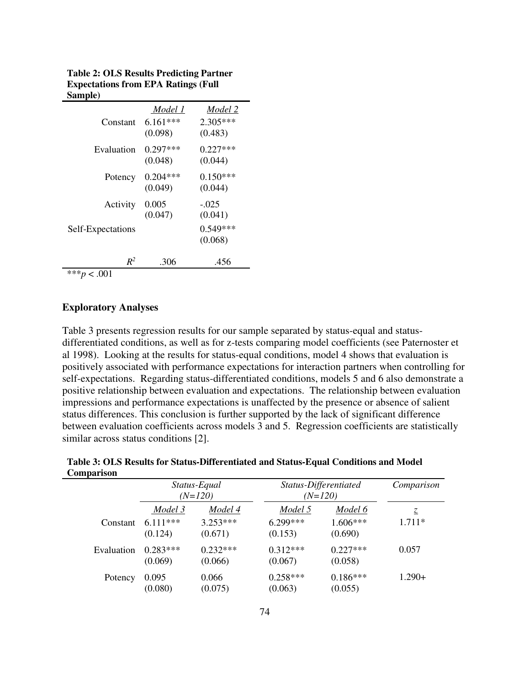| $\sim$ $\cdots$ $\sim$ $\prime$ |                                  |                                  |
|---------------------------------|----------------------------------|----------------------------------|
| Constant                        | Model 1<br>$6.161***$<br>(0.098) | Model 2<br>$2.305***$<br>(0.483) |
| Evaluation                      | $0.297***$<br>(0.048)            | $0.227***$<br>(0.044)            |
| Potency                         | $0.204***$<br>(0.049)            | $0.150***$<br>(0.044)            |
| Activity                        | 0.005<br>(0.047)                 | $-.025$<br>(0.041)               |
| Self-Expectations               |                                  | $0.549***$<br>(0.068)            |
| $R^2$                           | .306                             | .456                             |
| *** $p < .001$                  |                                  |                                  |

**Table 2: OLS Results Predicting Partner Expectations from EPA Ratings (Full Sample)** 

#### **Exploratory Analyses**

Table 3 presents regression results for our sample separated by status-equal and statusdifferentiated conditions, as well as for z-tests comparing model coefficients (see Paternoster et al 1998). Looking at the results for status-equal conditions, model 4 shows that evaluation is positively associated with performance expectations for interaction partners when controlling for self-expectations. Regarding status-differentiated conditions, models 5 and 6 also demonstrate a positive relationship between evaluation and expectations. The relationship between evaluation impressions and performance expectations is unaffected by the presence or absence of salient status differences. This conclusion is further supported by the lack of significant difference between evaluation coefficients across models 3 and 5. Regression coefficients are statistically similar across status conditions [2].

| $\sim$ put to $\sim$ |                           |                       |                                    |                       |          |  |  |  |
|----------------------|---------------------------|-----------------------|------------------------------------|-----------------------|----------|--|--|--|
|                      | Status-Equal<br>$(N=120)$ |                       | Status-Differentiated<br>$(N=120)$ | Comparison            |          |  |  |  |
|                      | Model 3                   | Model 4               | Model 5                            | Model 6               | Z.       |  |  |  |
| Constant             | $6.111***$<br>(0.124)     | $3.253***$<br>(0.671) | $6.299***$<br>(0.153)              | 1.606***<br>(0.690)   | $1.711*$ |  |  |  |
| Evaluation           | $0.283***$<br>(0.069)     | $0.232***$<br>(0.066) | $0.312***$<br>(0.067)              | $0.227***$<br>(0.058) | 0.057    |  |  |  |
| Potency              | 0.095<br>(0.080)          | 0.066<br>(0.075)      | $0.258***$<br>(0.063)              | $0.186***$<br>(0.055) | $1.290+$ |  |  |  |

**Table 3: OLS Results for Status-Differentiated and Status-Equal Conditions and Model Comparison**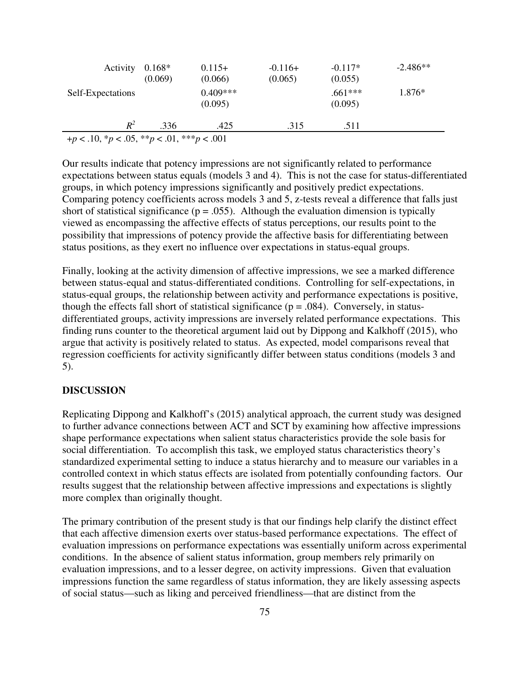| Activity                                              | $0.168*$<br>(0.069) | $0.115+$<br>(0.066)   | $-0.116+$<br>(0.065) | $-0.117*$<br>(0.055)           | $-2.486**$ |  |  |
|-------------------------------------------------------|---------------------|-----------------------|----------------------|--------------------------------|------------|--|--|
| Self-Expectations                                     |                     | $0.409***$<br>(0.095) |                      | 1.876*<br>$.661***$<br>(0.095) |            |  |  |
| $R^2$                                                 | .336                | .425                  | .315                 | .511                           |            |  |  |
| $+p < .10, \, \nu < .05, \, \nu < .01, \, \nu < .001$ |                     |                       |                      |                                |            |  |  |

Our results indicate that potency impressions are not significantly related to performance expectations between status equals (models 3 and 4). This is not the case for status-differentiated groups, in which potency impressions significantly and positively predict expectations. Comparing potency coefficients across models 3 and 5, z-tests reveal a difference that falls just short of statistical significance ( $p = .055$ ). Although the evaluation dimension is typically viewed as encompassing the affective effects of status perceptions, our results point to the possibility that impressions of potency provide the affective basis for differentiating between status positions, as they exert no influence over expectations in status-equal groups.

Finally, looking at the activity dimension of affective impressions, we see a marked difference between status-equal and status-differentiated conditions. Controlling for self-expectations, in status-equal groups, the relationship between activity and performance expectations is positive, though the effects fall short of statistical significance ( $p = .084$ ). Conversely, in statusdifferentiated groups, activity impressions are inversely related performance expectations. This finding runs counter to the theoretical argument laid out by Dippong and Kalkhoff (2015), who argue that activity is positively related to status. As expected, model comparisons reveal that regression coefficients for activity significantly differ between status conditions (models 3 and 5).

# **DISCUSSION**

Replicating Dippong and Kalkhoff's (2015) analytical approach, the current study was designed to further advance connections between ACT and SCT by examining how affective impressions shape performance expectations when salient status characteristics provide the sole basis for social differentiation. To accomplish this task, we employed status characteristics theory's standardized experimental setting to induce a status hierarchy and to measure our variables in a controlled context in which status effects are isolated from potentially confounding factors. Our results suggest that the relationship between affective impressions and expectations is slightly more complex than originally thought.

The primary contribution of the present study is that our findings help clarify the distinct effect that each affective dimension exerts over status-based performance expectations. The effect of evaluation impressions on performance expectations was essentially uniform across experimental conditions. In the absence of salient status information, group members rely primarily on evaluation impressions, and to a lesser degree, on activity impressions. Given that evaluation impressions function the same regardless of status information, they are likely assessing aspects of social status—such as liking and perceived friendliness—that are distinct from the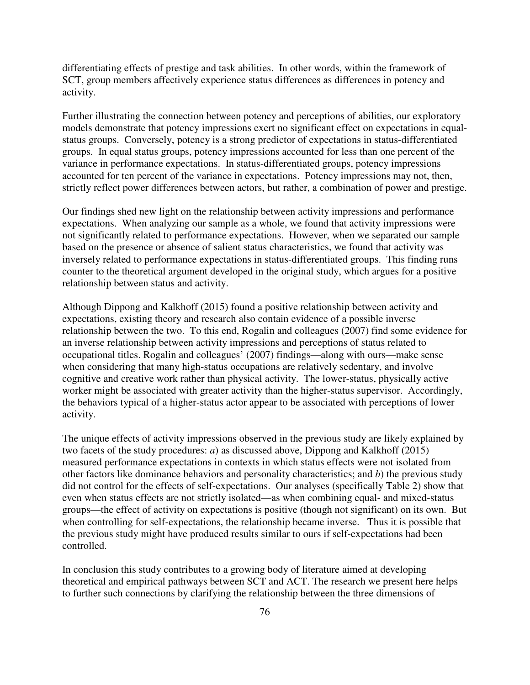differentiating effects of prestige and task abilities. In other words, within the framework of SCT, group members affectively experience status differences as differences in potency and activity.

Further illustrating the connection between potency and perceptions of abilities, our exploratory models demonstrate that potency impressions exert no significant effect on expectations in equalstatus groups. Conversely, potency is a strong predictor of expectations in status-differentiated groups. In equal status groups, potency impressions accounted for less than one percent of the variance in performance expectations. In status-differentiated groups, potency impressions accounted for ten percent of the variance in expectations. Potency impressions may not, then, strictly reflect power differences between actors, but rather, a combination of power and prestige.

Our findings shed new light on the relationship between activity impressions and performance expectations. When analyzing our sample as a whole, we found that activity impressions were not significantly related to performance expectations. However, when we separated our sample based on the presence or absence of salient status characteristics, we found that activity was inversely related to performance expectations in status-differentiated groups. This finding runs counter to the theoretical argument developed in the original study, which argues for a positive relationship between status and activity.

Although Dippong and Kalkhoff (2015) found a positive relationship between activity and expectations, existing theory and research also contain evidence of a possible inverse relationship between the two. To this end, Rogalin and colleagues (2007) find some evidence for an inverse relationship between activity impressions and perceptions of status related to occupational titles. Rogalin and colleagues' (2007) findings—along with ours—make sense when considering that many high-status occupations are relatively sedentary, and involve cognitive and creative work rather than physical activity. The lower-status, physically active worker might be associated with greater activity than the higher-status supervisor. Accordingly, the behaviors typical of a higher-status actor appear to be associated with perceptions of lower activity.

The unique effects of activity impressions observed in the previous study are likely explained by two facets of the study procedures: *a*) as discussed above, Dippong and Kalkhoff (2015) measured performance expectations in contexts in which status effects were not isolated from other factors like dominance behaviors and personality characteristics; and *b*) the previous study did not control for the effects of self-expectations. Our analyses (specifically Table 2) show that even when status effects are not strictly isolated—as when combining equal- and mixed-status groups—the effect of activity on expectations is positive (though not significant) on its own. But when controlling for self-expectations, the relationship became inverse. Thus it is possible that the previous study might have produced results similar to ours if self-expectations had been controlled.

In conclusion this study contributes to a growing body of literature aimed at developing theoretical and empirical pathways between SCT and ACT. The research we present here helps to further such connections by clarifying the relationship between the three dimensions of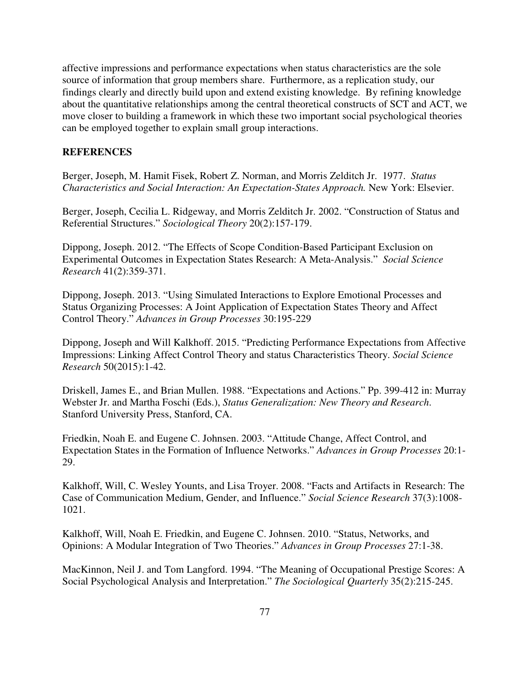affective impressions and performance expectations when status characteristics are the sole source of information that group members share. Furthermore, as a replication study, our findings clearly and directly build upon and extend existing knowledge. By refining knowledge about the quantitative relationships among the central theoretical constructs of SCT and ACT, we move closer to building a framework in which these two important social psychological theories can be employed together to explain small group interactions.

#### **REFERENCES**

Berger, Joseph, M. Hamit Fisek, Robert Z. Norman, and Morris Zelditch Jr. 1977. *Status Characteristics and Social Interaction: An Expectation-States Approach.* New York: Elsevier.

Berger, Joseph, Cecilia L. Ridgeway, and Morris Zelditch Jr. 2002. "Construction of Status and Referential Structures." *Sociological Theory* 20(2):157-179.

Dippong, Joseph. 2012. "The Effects of Scope Condition-Based Participant Exclusion on Experimental Outcomes in Expectation States Research: A Meta-Analysis." *Social Science Research* 41(2):359-371.

Dippong, Joseph. 2013. "Using Simulated Interactions to Explore Emotional Processes and Status Organizing Processes: A Joint Application of Expectation States Theory and Affect Control Theory." *Advances in Group Processes* 30:195-229

Dippong, Joseph and Will Kalkhoff. 2015. "Predicting Performance Expectations from Affective Impressions: Linking Affect Control Theory and status Characteristics Theory. *Social Science Research* 50(2015):1-42.

Driskell, James E., and Brian Mullen. 1988. "Expectations and Actions." Pp. 399-412 in: Murray Webster Jr. and Martha Foschi (Eds.), *Status Generalization: New Theory and Research*. Stanford University Press, Stanford, CA.

Friedkin, Noah E. and Eugene C. Johnsen. 2003. "Attitude Change, Affect Control, and Expectation States in the Formation of Influence Networks." *Advances in Group Processes* 20:1- 29.

Kalkhoff, Will, C. Wesley Younts, and Lisa Troyer. 2008. "Facts and Artifacts in Research: The Case of Communication Medium, Gender, and Influence." *Social Science Research* 37(3):1008- 1021.

Kalkhoff, Will, Noah E. Friedkin, and Eugene C. Johnsen. 2010. "Status, Networks, and Opinions: A Modular Integration of Two Theories." *Advances in Group Processes* 27:1-38.

MacKinnon, Neil J. and Tom Langford. 1994. "The Meaning of Occupational Prestige Scores: A Social Psychological Analysis and Interpretation." *The Sociological Quarterly* 35(2):215-245.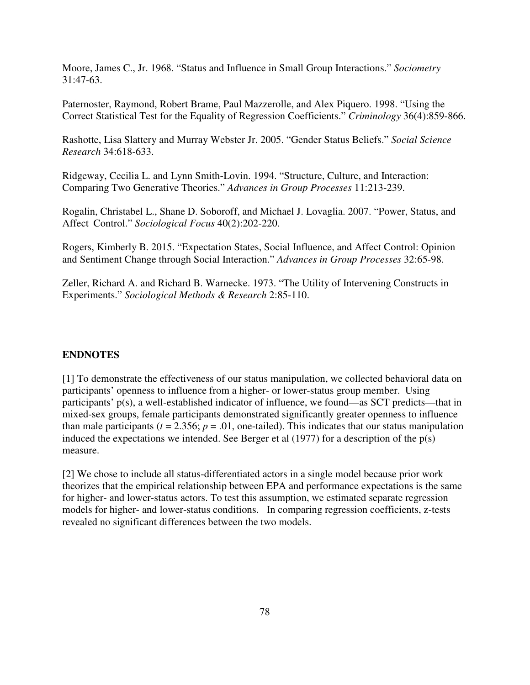Moore, James C., Jr. 1968. "Status and Influence in Small Group Interactions." *Sociometry* 31:47-63.

Paternoster, Raymond, Robert Brame, Paul Mazzerolle, and Alex Piquero. 1998. "Using the Correct Statistical Test for the Equality of Regression Coefficients." *Criminology* 36(4):859-866.

Rashotte, Lisa Slattery and Murray Webster Jr. 2005. "Gender Status Beliefs." *Social Science Research* 34:618-633.

Ridgeway, Cecilia L. and Lynn Smith-Lovin. 1994. "Structure, Culture, and Interaction: Comparing Two Generative Theories." *Advances in Group Processes* 11:213-239.

Rogalin, Christabel L., Shane D. Soboroff, and Michael J. Lovaglia. 2007. "Power, Status, and Affect Control." *Sociological Focus* 40(2):202-220.

Rogers, Kimberly B. 2015. "Expectation States, Social Influence, and Affect Control: Opinion and Sentiment Change through Social Interaction." *Advances in Group Processes* 32:65-98.

Zeller, Richard A. and Richard B. Warnecke. 1973. "The Utility of Intervening Constructs in Experiments." *Sociological Methods & Research* 2:85-110.

## **ENDNOTES**

[1] To demonstrate the effectiveness of our status manipulation, we collected behavioral data on participants' openness to influence from a higher- or lower-status group member. Using participants' p(s), a well-established indicator of influence, we found—as SCT predicts—that in mixed-sex groups, female participants demonstrated significantly greater openness to influence than male participants ( $t = 2.356$ ;  $p = .01$ , one-tailed). This indicates that our status manipulation induced the expectations we intended. See Berger et al (1977) for a description of the p(s) measure.

[2] We chose to include all status-differentiated actors in a single model because prior work theorizes that the empirical relationship between EPA and performance expectations is the same for higher- and lower-status actors. To test this assumption, we estimated separate regression models for higher- and lower-status conditions. In comparing regression coefficients, z-tests revealed no significant differences between the two models.